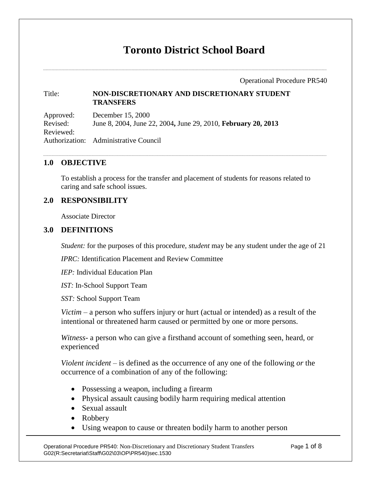# **Toronto District School Board**

Operational Procedure PR540

#### Title: **NON-DISCRETIONARY AND DISCRETIONARY STUDENT TRANSFERS**

Approved: December 15, 2000 Revised: June 8, 2004, June 22, 2004**,** June 29, 2010, **February 20, 2013** Reviewed: Authorization: Administrative Council

# **1.0 OBJECTIVE**

To establish a process for the transfer and placement of students for reasons related to caring and safe school issues.

# **2.0 RESPONSIBILITY**

Associate Director

### **3.0 DEFINITIONS**

*Student:* for the purposes of this procedure, *student* may be any student under the age of 21

*IPRC:* Identification Placement and Review Committee

*IEP:* Individual Education Plan

*IST:* In-School Support Team

*SST:* School Support Team

*Victim –* a person who suffers injury or hurt (actual or intended) as a result of the intentional or threatened harm caused or permitted by one or more persons.

*Witness-* a person who can give a firsthand account of something seen, heard, or experienced

*Violent incident* – is defined as the occurrence of any one of the following *or* the occurrence of a combination of any of the following:

- Possessing a weapon, including a firearm
- Physical assault causing bodily harm requiring medical attention
- Sexual assault
- Robbery
- Using weapon to cause or threaten bodily harm to another person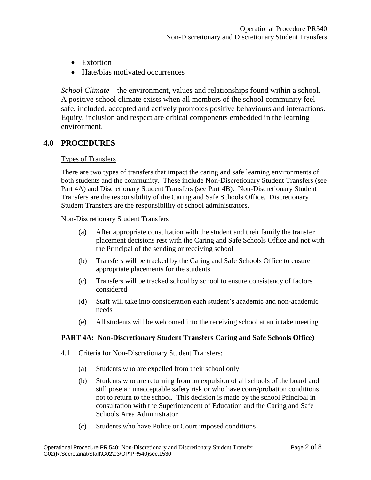- Extortion
- Hate/bias motivated occurrences

*School Climate –* the environment, values and relationships found within a school. A positive school climate exists when all members of the school community feel safe, included, accepted and actively promotes positive behaviours and interactions. Equity, inclusion and respect are critical components embedded in the learning environment.

# **4.0 PROCEDURES**

#### Types of Transfers

There are two types of transfers that impact the caring and safe learning environments of both students and the community. These include Non-Discretionary Student Transfers (see Part 4A) and Discretionary Student Transfers (see Part 4B). Non-Discretionary Student Transfers are the responsibility of the Caring and Safe Schools Office. Discretionary Student Transfers are the responsibility of school administrators.

#### Non-Discretionary Student Transfers

- (a) After appropriate consultation with the student and their family the transfer placement decisions rest with the Caring and Safe Schools Office and not with the Principal of the sending or receiving school
- (b) Transfers will be tracked by the Caring and Safe Schools Office to ensure appropriate placements for the students
- (c) Transfers will be tracked school by school to ensure consistency of factors considered
- (d) Staff will take into consideration each student's academic and non-academic needs
- (e) All students will be welcomed into the receiving school at an intake meeting

### **PART 4A: Non-Discretionary Student Transfers Caring and Safe Schools Office)**

- 4.1. Criteria for Non-Discretionary Student Transfers:
	- (a) Students who are expelled from their school only
	- (b) Students who are returning from an expulsion of all schools of the board and still pose an unacceptable safety risk or who have court/probation conditions not to return to the school. This decision is made by the school Principal in consultation with the Superintendent of Education and the Caring and Safe Schools Area Administrator
	- (c) Students who have Police or Court imposed conditions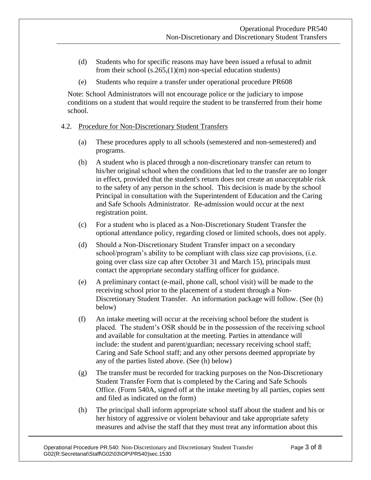- (d) Students who for specific reasons may have been issued a refusal to admit from their school (s.265,(1)(m) non-special education students)
- (e) Students who require a transfer under operational procedure PR608

Note: School Administrators will not encourage police or the judiciary to impose conditions on a student that would require the student to be transferred from their home school.

#### 4.2. Procedure for Non-Discretionary Student Transfers

- (a) These procedures apply to all schools (semestered and non-semestered) and programs.
- (b) A student who is placed through a non-discretionary transfer can return to his/her original school when the conditions that led to the transfer are no longer in effect, provided that the student's return does not create an unacceptable risk to the safety of any person in the school. This decision is made by the school Principal in consultation with the Superintendent of Education and the Caring and Safe Schools Administrator. Re-admission would occur at the next registration point.
- (c) For a student who is placed as a Non-Discretionary Student Transfer the optional attendance policy, regarding closed or limited schools, does not apply.
- (d) Should a Non-Discretionary Student Transfer impact on a secondary school/program's ability to be compliant with class size cap provisions, (i.e. going over class size cap after October 31 and March 15), principals must contact the appropriate secondary staffing officer for guidance.
- (e) A preliminary contact (e-mail, phone call, school visit) will be made to the receiving school prior to the placement of a student through a Non-Discretionary Student Transfer. An information package will follow. (See (h) below)
- (f) An intake meeting will occur at the receiving school before the student is placed. The student's OSR should be in the possession of the receiving school and available for consultation at the meeting. Parties in attendance will include: the student and parent/guardian; necessary receiving school staff; Caring and Safe School staff; and any other persons deemed appropriate by any of the parties listed above. (See (h) below)
- (g) The transfer must be recorded for tracking purposes on the Non-Discretionary Student Transfer Form that is completed by the Caring and Safe Schools Office. (Form 540A, signed off at the intake meeting by all parties, copies sent and filed as indicated on the form)
- (h) The principal shall inform appropriate school staff about the student and his or her history of aggressive or violent behaviour and take appropriate safety measures and advise the staff that they must treat any information about this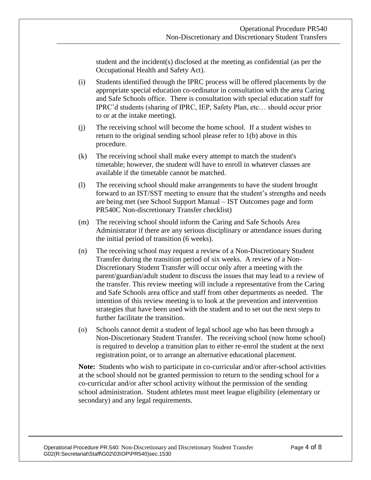student and the incident(s) disclosed at the meeting as confidential (as per the Occupational Health and Safety Act).

- (i) Students identified through the IPRC process will be offered placements by the appropriate special education co-ordinator in consultation with the area Caring and Safe Schools office. There is consultation with special education staff for IPRC'd students (sharing of IPRC, IEP, Safety Plan, etc… should occur prior to or at the intake meeting).
- (j) The receiving school will become the home school. If a student wishes to return to the original sending school please refer to 1(b) above in this procedure.
- (k) The receiving school shall make every attempt to match the student's timetable; however, the student will have to enroll in whatever classes are available if the timetable cannot be matched.
- (l) The receiving school should make arrangements to have the student brought forward to an IST/SST meeting to ensure that the student's strengths and needs are being met (see School Support Manual – IST Outcomes page and form PR540C Non-discretionary Transfer checklist)
- (m) The receiving school should inform the Caring and Safe Schools Area Administrator if there are any serious disciplinary or attendance issues during the initial period of transition (6 weeks).
- (n) The receiving school may request a review of a Non-Discretionary Student Transfer during the transition period of six weeks. A review of a Non-Discretionary Student Transfer will occur only after a meeting with the parent/guardian/adult student to discuss the issues that may lead to a review of the transfer. This review meeting will include a representative from the Caring and Safe Schools area office and staff from other departments as needed. The intention of this review meeting is to look at the prevention and intervention strategies that have been used with the student and to set out the next steps to further facilitate the transition.
- (o) Schools cannot demit a student of legal school age who has been through a Non-Discretionary Student Transfer. The receiving school (now home school) is required to develop a transition plan to either re-enrol the student at the next registration point, or to arrange an alternative educational placement.

**Note:** Students who wish to participate in co-curricular and/or after-school activities at the school should not be granted permission to return to the sending school for a co-curricular and/or after school activity without the permission of the sending school administration. Student athletes must meet league eligibility (elementary or secondary) and any legal requirements.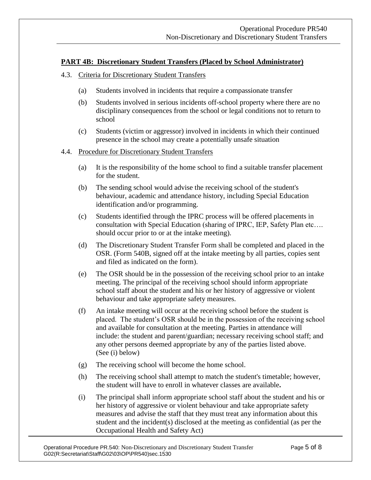### **PART 4B: Discretionary Student Transfers (Placed by School Administrator)**

#### 4.3. Criteria for Discretionary Student Transfers

- (a) Students involved in incidents that require a compassionate transfer
- (b) Students involved in serious incidents off-school property where there are no disciplinary consequences from the school or legal conditions not to return to school
- (c) Students (victim or aggressor) involved in incidents in which their continued presence in the school may create a potentially unsafe situation

#### 4.4. Procedure for Discretionary Student Transfers

- (a) It is the responsibility of the home school to find a suitable transfer placement for the student.
- (b) The sending school would advise the receiving school of the student's behaviour, academic and attendance history, including Special Education identification and/or programming.
- (c) Students identified through the IPRC process will be offered placements in consultation with Special Education (sharing of IPRC, IEP, Safety Plan etc…. should occur prior to or at the intake meeting).
- (d) The Discretionary Student Transfer Form shall be completed and placed in the OSR. (Form 540B, signed off at the intake meeting by all parties, copies sent and filed as indicated on the form).
- (e) The OSR should be in the possession of the receiving school prior to an intake meeting. The principal of the receiving school should inform appropriate school staff about the student and his or her history of aggressive or violent behaviour and take appropriate safety measures.
- (f) An intake meeting will occur at the receiving school before the student is placed. The student's OSR should be in the possession of the receiving school and available for consultation at the meeting. Parties in attendance will include: the student and parent/guardian; necessary receiving school staff; and any other persons deemed appropriate by any of the parties listed above. (See (i) below)
- (g) The receiving school will become the home school.
- (h) The receiving school shall attempt to match the student's timetable; however, the student will have to enroll in whatever classes are available**.**
- (i) The principal shall inform appropriate school staff about the student and his or her history of aggressive or violent behaviour and take appropriate safety measures and advise the staff that they must treat any information about this student and the incident(s) disclosed at the meeting as confidential (as per the Occupational Health and Safety Act)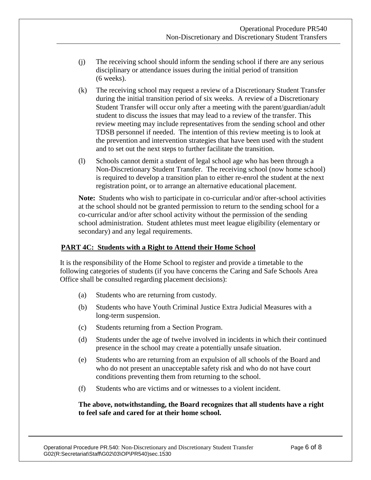- (j) The receiving school should inform the sending school if there are any serious disciplinary or attendance issues during the initial period of transition (6 weeks).
- (k) The receiving school may request a review of a Discretionary Student Transfer during the initial transition period of six weeks. A review of a Discretionary Student Transfer will occur only after a meeting with the parent/guardian/adult student to discuss the issues that may lead to a review of the transfer. This review meeting may include representatives from the sending school and other TDSB personnel if needed. The intention of this review meeting is to look at the prevention and intervention strategies that have been used with the student and to set out the next steps to further facilitate the transition.
- (l) Schools cannot demit a student of legal school age who has been through a Non-Discretionary Student Transfer. The receiving school (now home school) is required to develop a transition plan to either re-enrol the student at the next registration point, or to arrange an alternative educational placement.

**Note:** Students who wish to participate in co-curricular and/or after-school activities at the school should not be granted permission to return to the sending school for a co-curricular and/or after school activity without the permission of the sending school administration. Student athletes must meet league eligibility (elementary or secondary) and any legal requirements.

### **PART 4C: Students with a Right to Attend their Home School**

It is the responsibility of the Home School to register and provide a timetable to the following categories of students (if you have concerns the Caring and Safe Schools Area Office shall be consulted regarding placement decisions):

- (a) Students who are returning from custody.
- (b) Students who have Youth Criminal Justice Extra Judicial Measures with a long-term suspension.
- (c) Students returning from a Section Program.
- (d) Students under the age of twelve involved in incidents in which their continued presence in the school may create a potentially unsafe situation.
- (e) Students who are returning from an expulsion of all schools of the Board and who do not present an unacceptable safety risk and who do not have court conditions preventing them from returning to the school.
- (f) Students who are victims and or witnesses to a violent incident.

#### **The above, notwithstanding, the Board recognizes that all students have a right to feel safe and cared for at their home school.**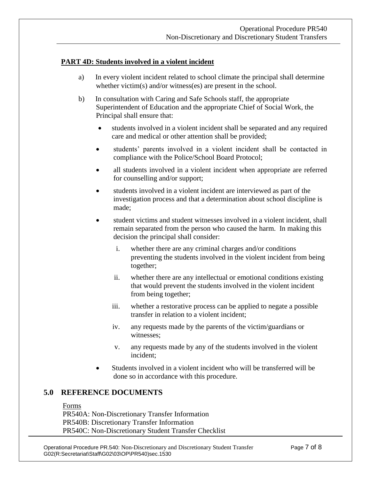#### **PART 4D: Students involved in a violent incident**

- a) In every violent incident related to school climate the principal shall determine whether victim(s) and/or witness(es) are present in the school.
- b) In consultation with Caring and Safe Schools staff, the appropriate Superintendent of Education and the appropriate Chief of Social Work, the Principal shall ensure that:
	- students involved in a violent incident shall be separated and any required care and medical or other attention shall be provided;
	- students' parents involved in a violent incident shall be contacted in compliance with the Police/School Board Protocol;
	- all students involved in a violent incident when appropriate are referred for counselling and/or support;
	- students involved in a violent incident are interviewed as part of the investigation process and that a determination about school discipline is made;
	- student victims and student witnesses involved in a violent incident, shall remain separated from the person who caused the harm. In making this decision the principal shall consider:
		- i. whether there are any criminal charges and/or conditions preventing the students involved in the violent incident from being together;
		- ii. whether there are any intellectual or emotional conditions existing that would prevent the students involved in the violent incident from being together;
		- iii. whether a restorative process can be applied to negate a possible transfer in relation to a violent incident;
		- iv. any requests made by the parents of the victim/guardians or witnesses;
		- v. any requests made by any of the students involved in the violent incident;
	- Students involved in a violent incident who will be transferred will be done so in accordance with this procedure.

# **5.0 REFERENCE DOCUMENTS**

Forms

PR540A: Non-Discretionary Transfer Information PR540B: Discretionary Transfer Information PR540C: Non-Discretionary Student Transfer Checklist